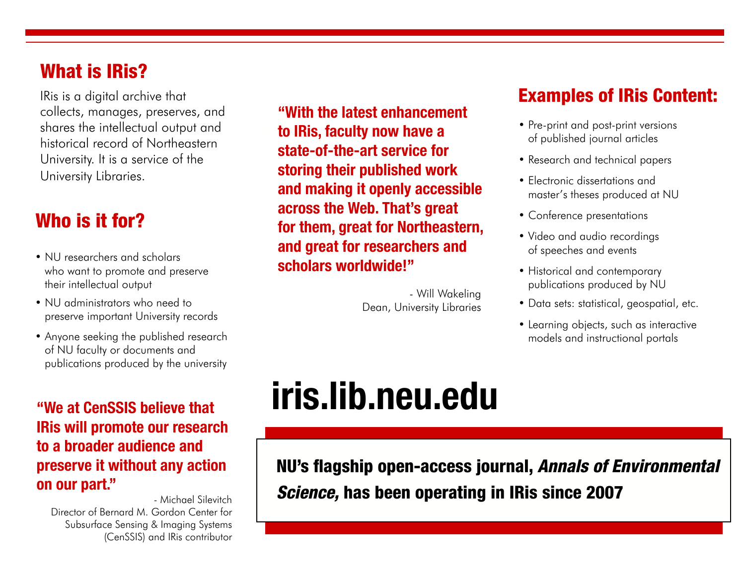### What is IRis?

IRis is a digital archive that collects, manages, preserves, and shares the intellectual output and historical record of Northeastern University. It is a service of the University Libraries.

### Who is it for?

- NU researchers and scholars who want to promote and preserve their intellectual output
- NU administrators who need to preserve important University records
- Anyone seeking the published research of NU faculty or documents and publications produced by the university

**"We at CenSSIS believe that IRis will promote our research to a broader audience and preserve it without any action on our part."**

- Michael Silevitch Director of Bernard M. Gordon Center for Subsurface Sensing & Imaging Systems (CenSSIS) and IRis contributor

**"With the latest enhancement to IRis, faculty now have a state-of-the-art service for storing their published work and making it openly accessible across the Web. That's great for them, great for Northeastern, and great for researchers and scholars worldwide!"**

> - Will Wakeling Dean, University Libraries

#### Examples of IRis Content:

- Pre-print and post-print versions of published journal articles
- Research and technical papers
- Electronic dissertations and master's theses produced at NU
- Conference presentations
- Video and audio recordings of speeches and events
- Historical and contemporary publications produced by NU
- Data sets: statistical, geospatial, etc.
- Learning objects, such as interactive models and instructional portals

# **iris.lib.neu.edu**

NU's flagship open-access journal, *Annals of Environmental Science,* has been operating in IRis since 2007